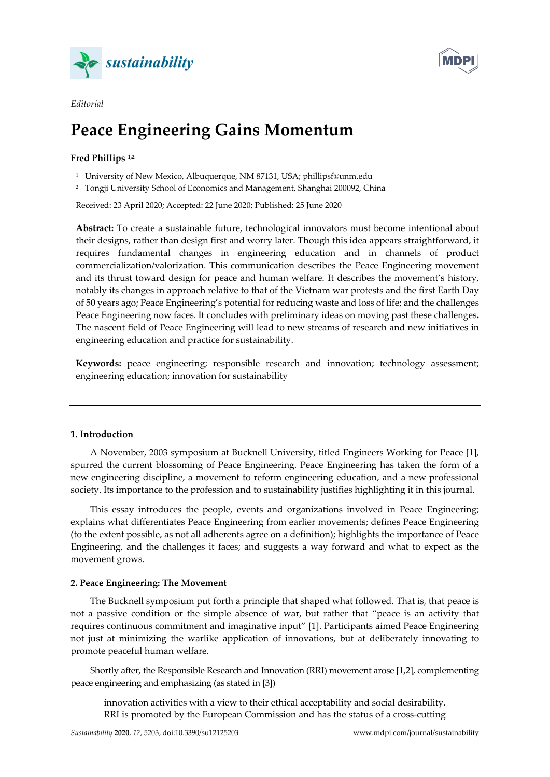



# **Peace Engineering Gains Momentum**

## **Fred Phillips 1,2**

*Editorial* 

<sup>1</sup> University of New Mexico, Albuquerque, NM 87131, USA; phillipsf@unm.edu

2 Tongji University School of Economics and Management, Shanghai 200092, China

Received: 23 April 2020; Accepted: 22 June 2020; Published: 25 June 2020

**Abstract:** To create a sustainable future, technological innovators must become intentional about their designs, rather than design first and worry later. Though this idea appears straightforward, it requires fundamental changes in engineering education and in channels of product commercialization/valorization. This communication describes the Peace Engineering movement and its thrust toward design for peace and human welfare. It describes the movement's history, notably its changes in approach relative to that of the Vietnam war protests and the first Earth Day of 50 years ago; Peace Engineering's potential for reducing waste and loss of life; and the challenges Peace Engineering now faces. It concludes with preliminary ideas on moving past these challenges**.**  The nascent field of Peace Engineering will lead to new streams of research and new initiatives in engineering education and practice for sustainability.

**Keywords:** peace engineering; responsible research and innovation; technology assessment; engineering education; innovation for sustainability

#### **1. Introduction**

A November, 2003 symposium at Bucknell University, titled Engineers Working for Peace [1], spurred the current blossoming of Peace Engineering. Peace Engineering has taken the form of a new engineering discipline, a movement to reform engineering education, and a new professional society. Its importance to the profession and to sustainability justifies highlighting it in this journal.

This essay introduces the people, events and organizations involved in Peace Engineering; explains what differentiates Peace Engineering from earlier movements; defines Peace Engineering (to the extent possible, as not all adherents agree on a definition); highlights the importance of Peace Engineering, and the challenges it faces; and suggests a way forward and what to expect as the movement grows.

## **2. Peace Engineering: The Movement**

The Bucknell symposium put forth a principle that shaped what followed. That is, that peace is not a passive condition or the simple absence of war, but rather that "peace is an activity that requires continuous commitment and imaginative input" [1]. Participants aimed Peace Engineering not just at minimizing the warlike application of innovations, but at deliberately innovating to promote peaceful human welfare.

Shortly after, the Responsible Research and Innovation (RRI) movement arose [1,2], complementing peace engineering and emphasizing (as stated in [3])

innovation activities with a view to their ethical acceptability and social desirability. RRI is promoted by the European Commission and has the status of a cross-cutting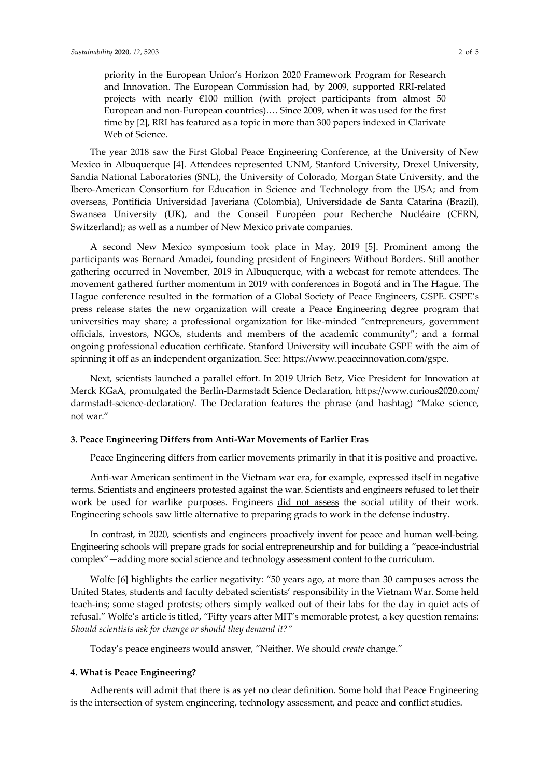priority in the European Union's Horizon 2020 Framework Program for Research and Innovation. The European Commission had, by 2009, supported RRI-related projects with nearly €100 million (with project participants from almost 50 European and non-European countries)…. Since 2009, when it was used for the first time by [2], RRI has featured as a topic in more than 300 papers indexed in Clarivate Web of Science.

The year 2018 saw the First Global Peace Engineering Conference, at the University of New Mexico in Albuquerque [4]. Attendees represented UNM, Stanford University, Drexel University, Sandia National Laboratories (SNL), the University of Colorado, Morgan State University, and the Ibero-American Consortium for Education in Science and Technology from the USA; and from overseas, Pontifícia Universidad Javeriana (Colombia), Universidade de Santa Catarina (Brazil), Swansea University (UK), and the Conseil Européen pour Recherche Nucléaire (CERN, Switzerland); as well as a number of New Mexico private companies.

A second New Mexico symposium took place in May, 2019 [5]. Prominent among the participants was Bernard Amadei, founding president of Engineers Without Borders. Still another gathering occurred in November, 2019 in Albuquerque, with a webcast for remote attendees. The movement gathered further momentum in 2019 with conferences in Bogotá and in The Hague. The Hague conference resulted in the formation of a Global Society of Peace Engineers, GSPE. GSPE's press release states the new organization will create a Peace Engineering degree program that universities may share; a professional organization for like-minded "entrepreneurs, government officials, investors, NGOs, students and members of the academic community"; and a formal ongoing professional education certificate. Stanford University will incubate GSPE with the aim of spinning it off as an independent organization. See: https://www.peaceinnovation.com/gspe.

Next, scientists launched a parallel effort. In 2019 Ulrich Betz, Vice President for Innovation at Merck KGaA, promulgated the Berlin-Darmstadt Science Declaration, https://www.curious2020.com/ darmstadt-science-declaration/. The Declaration features the phrase (and hashtag) "Make science, not war."

## **3. Peace Engineering Differs from Anti-War Movements of Earlier Eras**

Peace Engineering differs from earlier movements primarily in that it is positive and proactive.

Anti-war American sentiment in the Vietnam war era, for example, expressed itself in negative terms. Scientists and engineers protested against the war. Scientists and engineers refused to let their work be used for warlike purposes. Engineers did not assess the social utility of their work. Engineering schools saw little alternative to preparing grads to work in the defense industry.

In contrast, in 2020, scientists and engineers proactively invent for peace and human well-being. Engineering schools will prepare grads for social entrepreneurship and for building a "peace-industrial complex"—adding more social science and technology assessment content to the curriculum.

Wolfe [6] highlights the earlier negativity: "50 years ago, at more than 30 campuses across the United States, students and faculty debated scientists' responsibility in the Vietnam War. Some held teach-ins; some staged protests; others simply walked out of their labs for the day in quiet acts of refusal." Wolfe's article is titled, "Fifty years after MIT's memorable protest, a key question remains: *Should scientists ask for change or should they demand it?"*

Today's peace engineers would answer, "Neither. We should *create* change."

#### **4. What is Peace Engineering?**

Adherents will admit that there is as yet no clear definition. Some hold that Peace Engineering is the intersection of system engineering, technology assessment, and peace and conflict studies.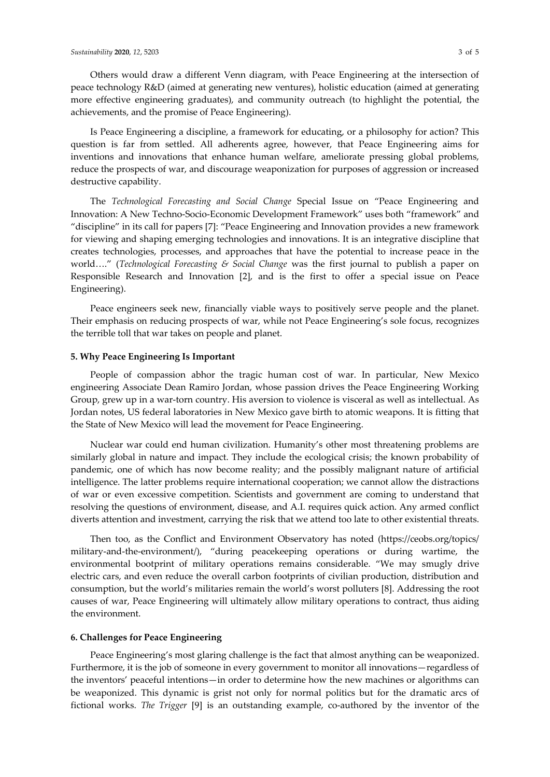Others would draw a different Venn diagram, with Peace Engineering at the intersection of peace technology R&D (aimed at generating new ventures), holistic education (aimed at generating more effective engineering graduates), and community outreach (to highlight the potential, the achievements, and the promise of Peace Engineering).

Is Peace Engineering a discipline, a framework for educating, or a philosophy for action? This question is far from settled. All adherents agree, however, that Peace Engineering aims for inventions and innovations that enhance human welfare, ameliorate pressing global problems, reduce the prospects of war, and discourage weaponization for purposes of aggression or increased destructive capability.

The *Technological Forecasting and Social Change* Special Issue on "Peace Engineering and Innovation: A New Techno-Socio-Economic Development Framework" uses both "framework" and "discipline" in its call for papers [7]: "Peace Engineering and Innovation provides a new framework for viewing and shaping emerging technologies and innovations. It is an integrative discipline that creates technologies, processes, and approaches that have the potential to increase peace in the world…." (*Technological Forecasting & Social Change* was the first journal to publish a paper on Responsible Research and Innovation [2], and is the first to offer a special issue on Peace Engineering).

Peace engineers seek new, financially viable ways to positively serve people and the planet. Their emphasis on reducing prospects of war, while not Peace Engineering's sole focus, recognizes the terrible toll that war takes on people and planet.

## **5. Why Peace Engineering Is Important**

People of compassion abhor the tragic human cost of war. In particular, New Mexico engineering Associate Dean Ramiro Jordan, whose passion drives the Peace Engineering Working Group, grew up in a war-torn country. His aversion to violence is visceral as well as intellectual. As Jordan notes, US federal laboratories in New Mexico gave birth to atomic weapons. It is fitting that the State of New Mexico will lead the movement for Peace Engineering.

Nuclear war could end human civilization. Humanity's other most threatening problems are similarly global in nature and impact. They include the ecological crisis; the known probability of pandemic, one of which has now become reality; and the possibly malignant nature of artificial intelligence. The latter problems require international cooperation; we cannot allow the distractions of war or even excessive competition. Scientists and government are coming to understand that resolving the questions of environment, disease, and A.I. requires quick action. Any armed conflict diverts attention and investment, carrying the risk that we attend too late to other existential threats.

Then too, as the Conflict and Environment Observatory has noted (https://ceobs.org/topics/ military-and-the-environment/), "during peacekeeping operations or during wartime, the environmental bootprint of military operations remains considerable. "We may smugly drive electric cars, and even reduce the overall carbon footprints of civilian production, distribution and consumption, but the world's militaries remain the world's worst polluters [8]. Addressing the root causes of war, Peace Engineering will ultimately allow military operations to contract, thus aiding the environment.

## **6. Challenges for Peace Engineering**

Peace Engineering's most glaring challenge is the fact that almost anything can be weaponized. Furthermore, it is the job of someone in every government to monitor all innovations—regardless of the inventors' peaceful intentions—in order to determine how the new machines or algorithms can be weaponized. This dynamic is grist not only for normal politics but for the dramatic arcs of fictional works. *The Trigger* [9] is an outstanding example, co-authored by the inventor of the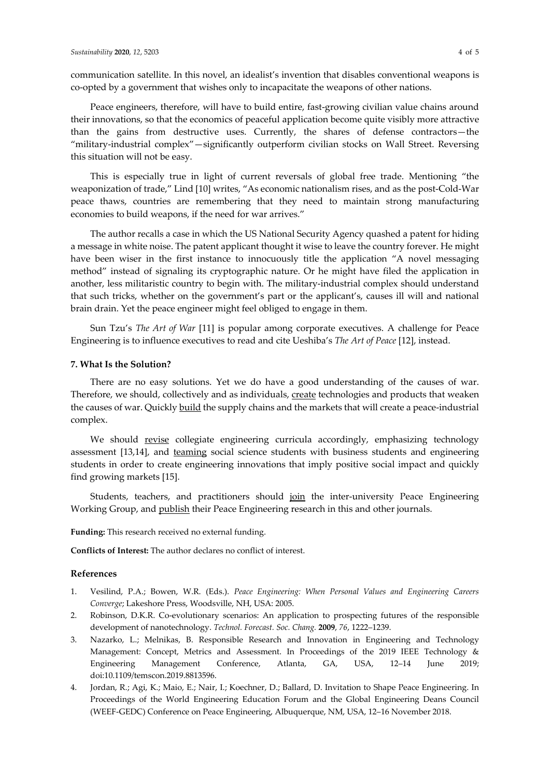communication satellite. In this novel, an idealist's invention that disables conventional weapons is co-opted by a government that wishes only to incapacitate the weapons of other nations.

Peace engineers, therefore, will have to build entire, fast-growing civilian value chains around their innovations, so that the economics of peaceful application become quite visibly more attractive than the gains from destructive uses. Currently, the shares of defense contractors—the "military-industrial complex"—significantly outperform civilian stocks on Wall Street. Reversing this situation will not be easy.

This is especially true in light of current reversals of global free trade. Mentioning "the weaponization of trade," Lind [10] writes, "As economic nationalism rises, and as the post-Cold-War peace thaws, countries are remembering that they need to maintain strong manufacturing economies to build weapons, if the need for war arrives."

The author recalls a case in which the US National Security Agency quashed a patent for hiding a message in white noise. The patent applicant thought it wise to leave the country forever. He might have been wiser in the first instance to innocuously title the application "A novel messaging method" instead of signaling its cryptographic nature. Or he might have filed the application in another, less militaristic country to begin with. The military-industrial complex should understand that such tricks, whether on the government's part or the applicant's, causes ill will and national brain drain. Yet the peace engineer might feel obliged to engage in them.

Sun Tzu's *The Art of War* [11] is popular among corporate executives. A challenge for Peace Engineering is to influence executives to read and cite Ueshiba's *The Art of Peace* [12], instead.

#### **7. What Is the Solution?**

There are no easy solutions. Yet we do have a good understanding of the causes of war. Therefore, we should, collectively and as individuals, create technologies and products that weaken the causes of war. Quickly build the supply chains and the markets that will create a peace-industrial complex.

We should revise collegiate engineering curricula accordingly, emphasizing technology assessment [13,14], and teaming social science students with business students and engineering students in order to create engineering innovations that imply positive social impact and quickly find growing markets [15].

Students, teachers, and practitioners should join the inter-university Peace Engineering Working Group, and publish their Peace Engineering research in this and other journals.

**Funding:** This research received no external funding.

**Conflicts of Interest:** The author declares no conflict of interest.

## **References**

- 1. Vesilind, P.A.; Bowen, W.R. (Eds.). *Peace Engineering: When Personal Values and Engineering Careers Converge*; Lakeshore Press, Woodsville, NH, USA: 2005.
- 2. Robinson, D.K.R. Co-evolutionary scenarios: An application to prospecting futures of the responsible development of nanotechnology. *Technol. Forecast. Soc. Chang.* **2009**, *76*, 1222–1239.
- 3. Nazarko, L.; Melnikas, B. Responsible Research and Innovation in Engineering and Technology Management: Concept, Metrics and Assessment. In Proceedings of the 2019 IEEE Technology & Engineering Management Conference, Atlanta, GA, USA, 12–14 June 2019; doi:10.1109/temscon.2019.8813596.
- 4. Jordan, R.; Agi, K.; Maio, E.; Nair, I.; Koechner, D.; Ballard, D. Invitation to Shape Peace Engineering. In Proceedings of the World Engineering Education Forum and the Global Engineering Deans Council (WEEF-GEDC) Conference on Peace Engineering, Albuquerque, NM, USA, 12–16 November 2018.